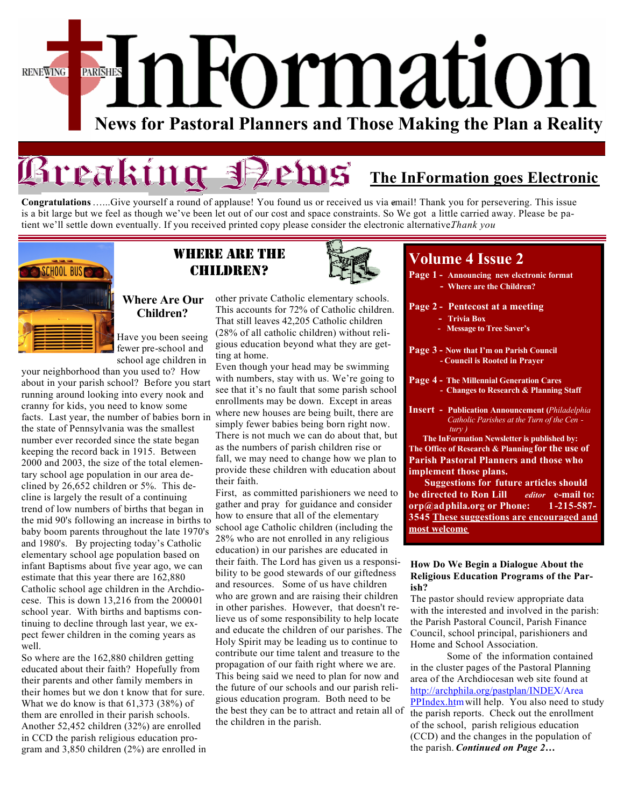## Formation PARISHES **RENEWING News for Pastoral Planners and Those Making the Plan a Reality**

# **Rreaking SPetus** The InFormation goes Electronic

**Congratulations** ......Give yourself a round of applause! You found us or received us via email! Thank you for persevering. This issue is a bit large but we feel as though we've been let out of our cost and space constraints. So We got a little carried away. Please be patient we'll settle down eventually. If you received printed copy please consider the electronic alternative.*Thank you* 



### Where are the Children?



### **Where Are Our Children?**

Have you been seeing fewer pre-school and school age children in

your neighborhood than you used to? How about in your parish school? Before you start running around looking into every nook and cranny for kids, you need to know some facts. Last year, the number of babies born in the state of Pennsylvania was the smallest number ever recorded since the state began keeping the record back in 1915. Between 2000 and 2003, the size of the total elementary school age population in our area declined by 26,652 children or 5%. This decline is largely the result of a continuing trend of low numbers of births that began in the mid 90's following an increase in births to baby boom parents throughout the late 1970's and 1980's. By projecting today's Catholic elementary school age population based on infant Baptisms about five year ago, we can estimate that this year there are 162,880 Catholic school age children in the Archdiocese. This is down  $13,216$  from the  $200001$ school year. With births and baptisms continuing to decline through last year, we expect fewer children in the coming years as well.

So where are the 162,880 children getting educated about their faith? Hopefully from their parents and other family members in their homes but we don t know that for sure. What we do know is that 61,373 (38%) of them are enrolled in their parish schools. Another 52,452 children (32%) are enrolled in CCD the parish religious education program and 3,850 children (2%) are enrolled in

other private Catholic elementary schools. This accounts for 72% of Catholic children. That still leaves 42,205 Catholic children (28% of all catholic children) without religious education beyond what they are getting at home.

Even though your head may be swimming with numbers, stay with us. We're going to see that it's no fault that some parish school enrollments may be down. Except in areas where new houses are being built, there are simply fewer babies being born right now. There is not much we can do about that, but as the numbers of parish children rise or fall, we may need to change how we plan to provide these children with education about their faith.

First, as committed parishioners we need to gather and pray for guidance and consider how to ensure that all of the elementary school age Catholic children (including the 28% who are not enrolled in any religious education) in our parishes are educated in their faith. The Lord has given us a responsibility to be good stewards of our giftedness and resources. Some of us have children who are grown and are raising their children in other parishes. However, that doesn't relieve us of some responsibility to help locate and educate the children of our parishes. The Holy Spirit may be leading us to continue to contribute our time talent and treasure to the propagation of our faith right where we are. This being said we need to plan for now and the future of our schools and our parish religious education program. Both need to be the best they can be to attract and retain all of the children in the parish.

### **Volume 4 Issue 2**

- **Page 1 Announcing new electronic format - Where are the Children?**
- **Page 2 Pentecost at a meeting**
	- **Trivia Box**
	- **Message to Tree Saver's**
- **Page 3 - Now that I'm on Parish Council - Council is Rooted in Prayer**
- **Page 4 - The Millennial Generation Cares - Changes to Research & Planning Staff**
- **Insert Publication Announcement (***Philadelphia Catholic Parishes at the Turn of the Cen tury )*

 **The InFormation Newsletter is published by: The Office of Research & Planning for the use of Parish Pastoral Planners and those who implement those plans.** 

 **Suggestions for future articles should be directed to Ron Lill** *editor* **e-mail to: orp@adphila.org or Phone: 1-215-587- 3545 These suggestions are encouraged and most welcome** 

#### **How Do We Begin a Dialogue About the Religious Education Programs of the Parish?**

The pastor should review appropriate data with the interested and involved in the parish: the Parish Pastoral Council, Parish Finance Council, school principal, parishioners and Home and School Association.

Some of the information contained in the cluster pages of the Pastoral Planning area of the Archdiocesan web site found at http://archphila.org/pastplan/INDEX/Area [PPIndex.htm will help. You also need to s](http://archphila.org/pastplan/INDEX/AreaPPIndex.html)tudy the parish reports. Check out the enrollment of the school, parish religious education (CCD) and the changes in the population of the parish. *Continued on Page 2…*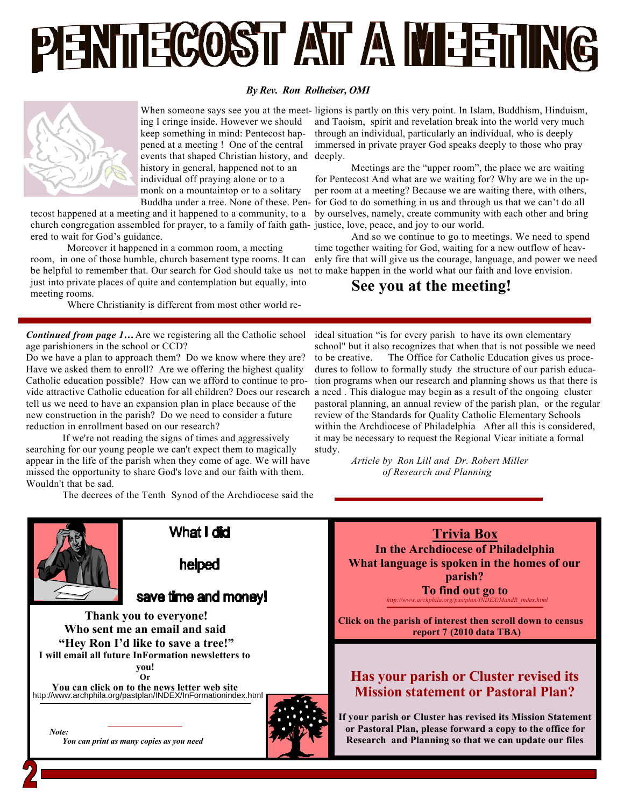

### *By Rev. Ron Rolheiser, OMI*



ing I cringe inside. However we should keep something in mind: Pentecost happened at a meeting ! One of the central events that shaped Christian history, and deeply. history in general, happened not to an individual off praying alone or to a monk on a mountaintop or to a solitary

tecost happened at a meeting and it happened to a community, to a church congregation assembled for prayer, to a family of faith gath-justice, love, peace, and joy to our world. ered to wait for God's guidance.

Moreover it happened in a common room, a meeting

room, in one of those humble, church basement type rooms. It can be helpful to remember that. Our search for God should take us not to make happen in the world what our faith and love envision. just into private places of quite and contemplation but equally, into meeting rooms.

Where Christianity is different from most other world re-

*Continued from page 1…* Are we registering all the Catholic school age parishioners in the school or CCD?

Do we have a plan to approach them? Do we know where they are? Have we asked them to enroll? Are we offering the highest quality Catholic education possible? How can we afford to continue to provide attractive Catholic education for all children? Does our research tell us we need to have an expansion plan in place because of the new construction in the parish? Do we need to consider a future reduction in enrollment based on our research?

If we're not reading the signs of times and aggressively searching for our young people we can't expect them to magically appear in the life of the parish when they come of age. We will have missed the opportunity to share God's love and our faith with them. Wouldn't that be sad.

The decrees of the Tenth Synod of the Archdiocese said the

When someone says see you at the meet-ligions is partly on this very point. In Islam, Buddhism, Hinduism, and Taoism, spirit and revelation break into the world very much through an individual, particularly an individual, who is deeply immersed in private prayer God speaks deeply to those who pray

Buddha under a tree. None of these. Pen-for God to do something in us and through us that we can't do all Meetings are the "upper room", the place we are waiting for Pentecost And what are we waiting for? Why are we in the upper room at a meeting? Because we are waiting there, with others, by ourselves, namely, create community with each other and bring

> And so we continue to go to meetings. We need to spend time together waiting for God, waiting for a new outflow of heavenly fire that will give us the courage, language, and power we need

### **See you at the meeting!**

ideal situation "is for every parish to have its own elementary school" but it also recognizes that when that is not possible we need to be creative. The Office for Catholic Education gives us procedures to follow to formally study the structure of our parish education programs when our research and planning shows us that there is a need . This dialogue may begin as a result of the ongoing cluster pastoral planning, an annual review of the parish plan, or the regular review of the Standards for Quality Catholic Elementary Schools within the Archdiocese of Philadelphia After all this is considered, it may be necessary to request the Regional Vicar initiate a formal study.

> *Article by Ron Lill and Dr. Robert Miller of Research and Planning*



# **helped**

What I did

### save time and money!

 **Thank you to everyone! Who sent me an email and said "Hey Ron I'd like to save a tree!" I will email all future InFormation newsletters to you! Or**

**You can click on to the news letter web site** <http://www.archphila.org/pastplan/INDEX/InFormationindex.html>

 *Note: You can print as many copies as you need*





**If your parish or Cluster has revised its Mission Statement or Pastoral Plan, please forward a copy to the office for Research and Planning so that we can update our files**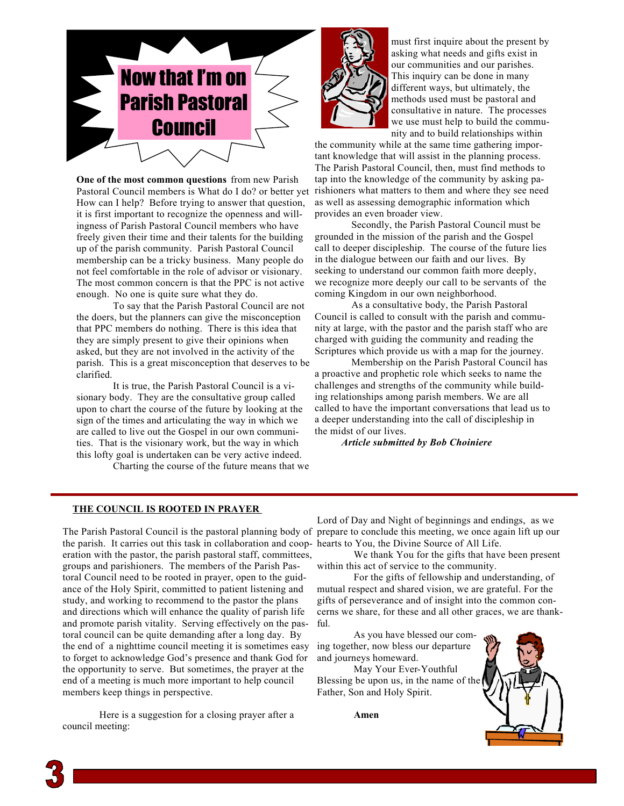

**One of the most common questions** from new Parish Pastoral Council members is What do I do? or better yet How can I help? Before trying to answer that question, it is first important to recognize the openness and willingness of Parish Pastoral Council members who have freely given their time and their talents for the building up of the parish community. Parish Pastoral Council membership can be a tricky business. Many people do not feel comfortable in the role of advisor or visionary. The most common concern is that the PPC is not active enough. No one is quite sure what they do.

To say that the Parish Pastoral Council are not the doers, but the planners can give the misconception that PPC members do nothing. There is this idea that they are simply present to give their opinions when asked, but they are not involved in the activity of the parish. This is a great misconception that deserves to be clarified.

It is true, the Parish Pastoral Council is a visionary body. They are the consultative group called upon to chart the course of the future by looking at the sign of the times and articulating the way in which we are called to live out the Gospel in our own communities. That is the visionary work, but the way in which this lofty goal is undertaken can be very active indeed.

Charting the course of the future means that we



must first inquire about the present by asking what needs and gifts exist in our communities and our parishes. This inquiry can be done in many different ways, but ultimately, the methods used must be pastoral and consultative in nature. The processes we use must help to build the community and to build relationships within

the community while at the same time gathering important knowledge that will assist in the planning process. The Parish Pastoral Council, then, must find methods to tap into the knowledge of the community by asking parishioners what matters to them and where they see need as well as assessing demographic information which provides an even broader view.

Secondly, the Parish Pastoral Council must be grounded in the mission of the parish and the Gospel call to deeper discipleship. The course of the future lies in the dialogue between our faith and our lives. By seeking to understand our common faith more deeply, we recognize more deeply our call to be servants of the coming Kingdom in our own neighborhood.

As a consultative body, the Parish Pastoral Council is called to consult with the parish and community at large, with the pastor and the parish staff who are charged with guiding the community and reading the Scriptures which provide us with a map for the journey.

Membership on the Parish Pastoral Council has a proactive and prophetic role which seeks to name the challenges and strengths of the community while building relationships among parish members. We are all called to have the important conversations that lead us to a deeper understanding into the call of discipleship in the midst of our lives.

 *Article submitted by Bob Choiniere*

### **THE COUNCIL IS ROOTED IN PRAYER**

The Parish Pastoral Council is the pastoral planning body of prepare to conclude this meeting, we once again lift up our the parish. It carries out this task in collaboration and coop-hearts to You, the Divine Source of All Life. eration with the pastor, the parish pastoral staff, committees, groups and parishioners. The members of the Parish Pastoral Council need to be rooted in prayer, open to the guidance of the Holy Spirit, committed to patient listening and study, and working to recommend to the pastor the plans and directions which will enhance the quality of parish life and promote parish vitality. Serving effectively on the pastoral council can be quite demanding after a long day. By the end of a nighttime council meeting it is sometimes easy to forget to acknowledge God's presence and thank God for the opportunity to serve. But sometimes, the prayer at the end of a meeting is much more important to help council members keep things in perspective.

Here is a suggestion for a closing prayer after a council meeting:

Lord of Day and Night of beginnings and endings, as we

We thank You for the gifts that have been present within this act of service to the community.

For the gifts of fellowship and understanding, of mutual respect and shared vision, we are grateful. For the gifts of perseverance and of insight into the common concerns we share, for these and all other graces, we are thankful.

As you have blessed our coming together, now bless our departure and journeys homeward.

May Your Ever-Youthful Blessing be upon us, in the name of the Father, Son and Holy Spirit.

**Amen**

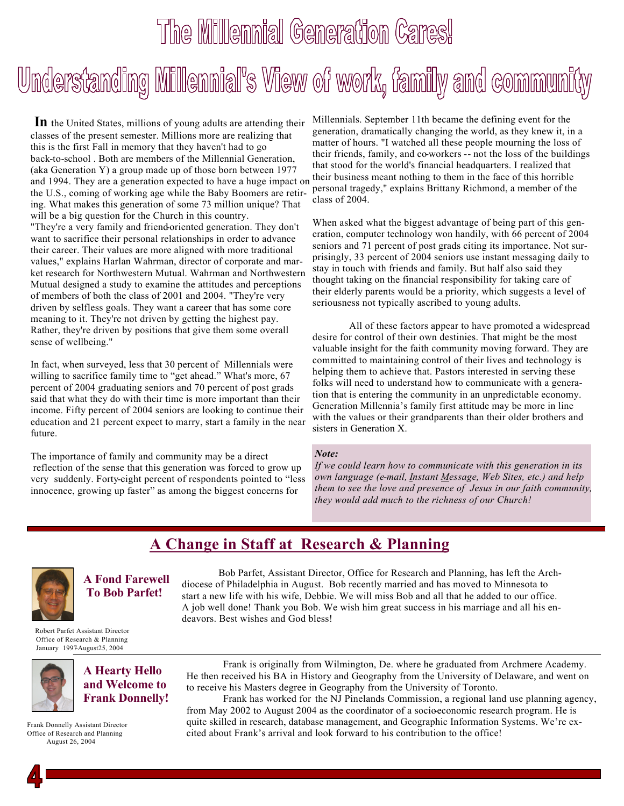# The Millennial Generation Cares! Understanding Millennial's View of work, family and community

**In** the United States, millions of young adults are attending their classes of the present semester. Millions more are realizing that this is the first Fall in memory that they haven't had to go back-to-school . Both are members of the Millennial Generation, (aka Generation Y) a group made up of those born between 1977 and 1994. They are a generation expected to have a huge impact on the U.S., coming of working age while the Baby Boomers are retiring. What makes this generation of some 73 million unique? That will be a big question for the Church in this country. "They're a very family and friend-oriented generation. They don't want to sacrifice their personal relationships in order to advance their career. Their values are more aligned with more traditional values," explains Harlan Wahrman, director of corporate and market research for Northwestern Mutual. Wahrman and Northwestern Mutual designed a study to examine the attitudes and perceptions of members of both the class of 2001 and 2004. "They're very driven by selfless goals. They want a career that has some core meaning to it. They're not driven by getting the highest pay. Rather, they're driven by positions that give them some overall sense of wellbeing."

In fact, when surveyed, less that 30 percent of Millennials were willing to sacrifice family time to "get ahead." What's more, 67 percent of 2004 graduating seniors and 70 percent of post grads said that what they do with their time is more important than their income. Fifty percent of 2004 seniors are looking to continue their education and 21 percent expect to marry, start a family in the near future.

The importance of family and community may be a direct reflection of the sense that this generation was forced to grow up very suddenly. Forty-eight percent of respondents pointed to "less innocence, growing up faster" as among the biggest concerns for

Millennials. September 11th became the defining event for the generation, dramatically changing the world, as they knew it, in a matter of hours. "I watched all these people mourning the loss of their friends, family, and co-workers -- not the loss of the buildings that stood for the world's financial headquarters. I realized that their business meant nothing to them in the face of this horrible personal tragedy," explains Brittany Richmond, a member of the class of 2004.

When asked what the biggest advantage of being part of this generation, computer technology won handily, with 66 percent of 2004 seniors and 71 percent of post grads citing its importance. Not surprisingly, 33 percent of 2004 seniors use instant messaging daily to stay in touch with friends and family. But half also said they thought taking on the financial responsibility for taking care of their elderly parents would be a priority, which suggests a level of seriousness not typically ascribed to young adults.

All of these factors appear to have promoted a widespread desire for control of their own destinies. That might be the most valuable insight for the faith community moving forward. They are committed to maintaining control of their lives and technology is helping them to achieve that. Pastors interested in serving these folks will need to understand how to communicate with a generation that is entering the community in an unpredictable economy. Generation Millennia's family first attitude may be more in line with the values or their grandparents than their older brothers and sisters in Generation X.

#### *Note:*

*If we could learn how to communicate with this generation in its own language (e-mail, Instant Message, Web Sites, etc.) and help them to see the love and presence of Jesus in our faith community, they would add much to the richness of our Church!*

## **A Change in Staff at Research & Planning**



**A Fond Farewell To Bob Parfet!** 

 Robert Parfet Assistant Director Office of Research & Planning January 1997-August25, 2004



**A Hearty Hello and Welcome to Frank Donnelly!**

 Frank Donnelly Assistant Director Office of Research and Planning August 26, 2004

Bob Parfet, Assistant Director, Office for Research and Planning, has left the Archdiocese of Philadelphia in August. Bob recently married and has moved to Minnesota to start a new life with his wife, Debbie. We will miss Bob and all that he added to our office. A job well done! Thank you Bob. We wish him great success in his marriage and all his endeavors. Best wishes and God bless!

Frank is originally from Wilmington, De. where he graduated from Archmere Academy. He then received his BA in History and Geography from the University of Delaware, and went on to receive his Masters degree in Geography from the University of Toronto.

Frank has worked for the NJ Pinelands Commission, a regional land use planning agency, from May 2002 to August 2004 as the coordinator of a socioeconomic research program. He is quite skilled in research, database management, and Geographic Information Systems. We're excited about Frank's arrival and look forward to his contribution to the office!